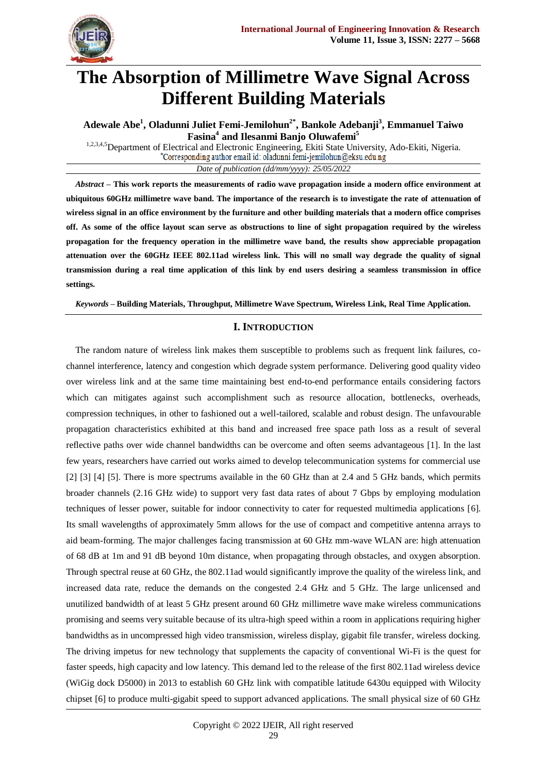

# **The Absorption of Millimetre Wave Signal Across Different Building Materials**

**Adewale Abe<sup>1</sup> , Oladunni Juliet Femi-Jemilohun2\* , Bankole Adebanji<sup>3</sup> , Emmanuel Taiwo Fasina<sup>4</sup> and Ilesanmi Banjo Oluwafemi<sup>5</sup>**

<sup>1,2,3,4,5</sup>Department of Electrical and Electronic Engineering, Ekiti State University, Ado-Ekiti, Nigeria.<br>
\*Corresponding author email id: oladunni.femi-jemilohun@eksu.edu.ng *Date of publication (dd/mm/yyyy): 25/05/2022*

*Abstract* **– This work reports the measurements of radio wave propagation inside a modern office environment at ubiquitous 60GHz millimetre wave band. The importance of the research is to investigate the rate of attenuation of wireless signal in an office environment by the furniture and other building materials that a modern office comprises off. As some of the office layout scan serve as obstructions to line of sight propagation required by the wireless propagation for the frequency operation in the millimetre wave band, the results show appreciable propagation attenuation over the 60GHz IEEE 802.11ad wireless link. This will no small way degrade the quality of signal transmission during a real time application of this link by end users desiring a seamless transmission in office settings.**

*Keywords* **– Building Materials, Throughput, Millimetre Wave Spectrum, Wireless Link, Real Time Application.**

# **I. INTRODUCTION**

The random nature of wireless link makes them susceptible to problems such as frequent link failures, cochannel interference, latency and congestion which degrade system performance. Delivering good quality video over wireless link and at the same time maintaining best end-to-end performance entails considering factors which can mitigates against such accomplishment such as resource allocation, bottlenecks, overheads, compression techniques, in other to fashioned out a well-tailored, scalable and robust design. The unfavourable propagation characteristics exhibited at this band and increased free space path loss as a result of several reflective paths over wide channel bandwidths can be overcome and often seems advantageous [1]. In the last few years, researchers have carried out works aimed to develop telecommunication systems for commercial use [2] [3] [4] [5]. There is more spectrums available in the 60 GHz than at 2.4 and 5 GHz bands, which permits broader channels (2.16 GHz wide) to support very fast data rates of about 7 Gbps by employing modulation techniques of lesser power, suitable for indoor connectivity to cater for requested multimedia applications [6]. Its small wavelengths of approximately 5mm allows for the use of compact and competitive antenna arrays to aid beam-forming. The major challenges facing transmission at 60 GHz mm-wave WLAN are: high attenuation of 68 dB at 1m and 91 dB beyond 10m distance, when propagating through obstacles, and oxygen absorption. Through spectral reuse at 60 GHz, the 802.11ad would significantly improve the quality of the wireless link, and increased data rate, reduce the demands on the congested 2.4 GHz and 5 GHz. The large unlicensed and unutilized bandwidth of at least 5 GHz present around 60 GHz millimetre wave make wireless communications promising and seems very suitable because of its ultra-high speed within a room in applications requiring higher bandwidths as in uncompressed high video transmission, wireless display, gigabit file transfer, wireless docking. The driving impetus for new technology that supplements the capacity of conventional Wi-Fi is the quest for faster speeds, high capacity and low latency. This demand led to the release of the first 802.11ad wireless device (WiGig dock D5000) in 2013 to establish 60 GHz link with compatible latitude 6430u equipped with Wilocity chipset [6] to produce multi-gigabit speed to support advanced applications. The small physical size of 60 GHz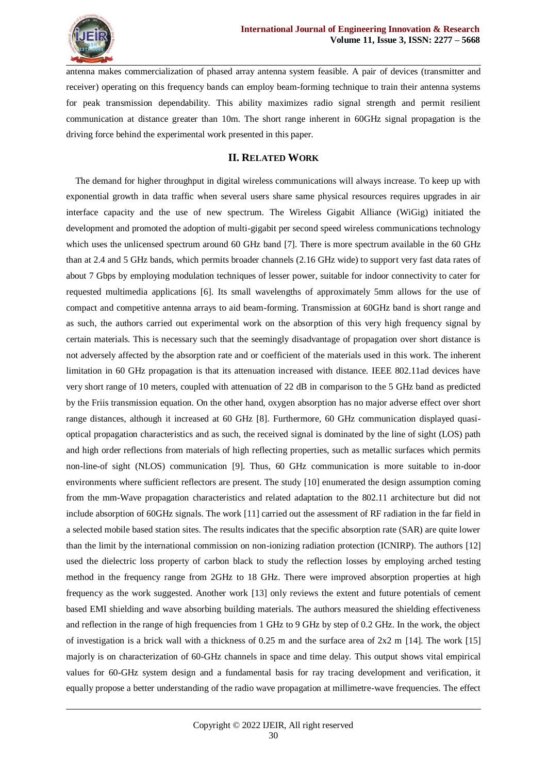

antenna makes commercialization of phased array antenna system feasible. A pair of devices (transmitter and receiver) operating on this frequency bands can employ beam-forming technique to train their antenna systems for peak transmission dependability. This ability maximizes radio signal strength and permit resilient communication at distance greater than 10m. The short range inherent in 60GHz signal propagation is the driving force behind the experimental work presented in this paper.

# **II. RELATED WORK**

The demand for higher throughput in digital wireless communications will always increase. To keep up with exponential growth in data traffic when several users share same physical resources requires upgrades in air interface capacity and the use of new spectrum. The Wireless Gigabit Alliance (WiGig) initiated the development and promoted the adoption of multi-gigabit per second speed wireless communications technology which uses the unlicensed spectrum around 60 GHz band [7]. There is more spectrum available in the 60 GHz than at 2.4 and 5 GHz bands, which permits broader channels (2.16 GHz wide) to support very fast data rates of about 7 Gbps by employing modulation techniques of lesser power, suitable for indoor connectivity to cater for requested multimedia applications [6]. Its small wavelengths of approximately 5mm allows for the use of compact and competitive antenna arrays to aid beam-forming. Transmission at 60GHz band is short range and as such, the authors carried out experimental work on the absorption of this very high frequency signal by certain materials. This is necessary such that the seemingly disadvantage of propagation over short distance is not adversely affected by the absorption rate and or coefficient of the materials used in this work. The inherent limitation in 60 GHz propagation is that its attenuation increased with distance. IEEE 802.11ad devices have very short range of 10 meters, coupled with attenuation of 22 dB in comparison to the 5 GHz band as predicted by the Friis transmission equation. On the other hand, oxygen absorption has no major adverse effect over short range distances, although it increased at 60 GHz [8]. Furthermore, 60 GHz communication displayed quasioptical propagation characteristics and as such, the received signal is dominated by the line of sight (LOS) path and high order reflections from materials of high reflecting properties, such as metallic surfaces which permits non-line-of sight (NLOS) communication [9]. Thus, 60 GHz communication is more suitable to in-door environments where sufficient reflectors are present. The study [10] enumerated the design assumption coming from the mm-Wave propagation characteristics and related adaptation to the 802.11 architecture but did not include absorption of 60GHz signals. The work [11] carried out the assessment of RF radiation in the far field in a selected mobile based station sites. The results indicates that the specific absorption rate (SAR) are quite lower than the limit by the international commission on non-ionizing radiation protection (ICNIRP). The authors [12] used the dielectric loss property of carbon black to study the reflection losses by employing arched testing method in the frequency range from 2GHz to 18 GHz. There were improved absorption properties at high frequency as the work suggested. Another work [13] only reviews the extent and future potentials of cement based EMI shielding and wave absorbing building materials. The authors measured the shielding effectiveness and reflection in the range of high frequencies from 1 GHz to 9 GHz by step of 0.2 GHz. In the work, the object of investigation is a brick wall with a thickness of 0.25 m and the surface area of  $2x2$  m [14]. The work [15] majorly is on characterization of 60-GHz channels in space and time delay. This output shows vital empirical values for 60-GHz system design and a fundamental basis for ray tracing development and verification, it equally propose a better understanding of the radio wave propagation at millimetre-wave frequencies. The effect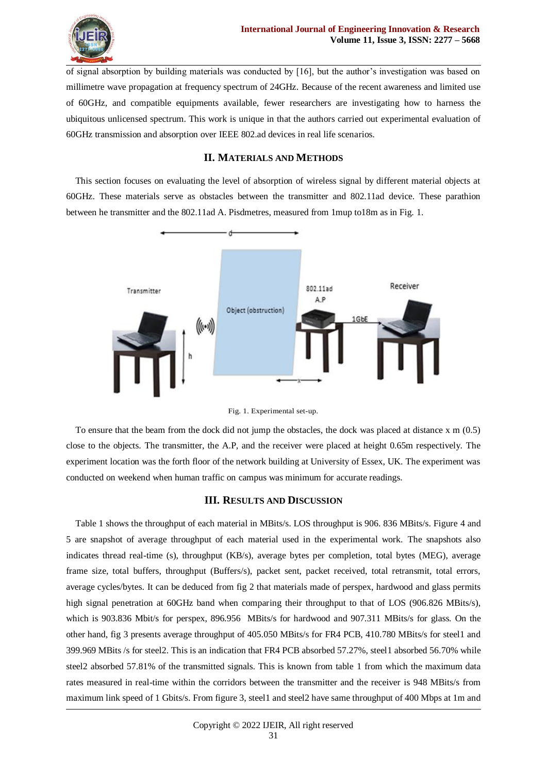

of signal absorption by building materials was conducted by [16], but the author's investigation was based on millimetre wave propagation at frequency spectrum of 24GHz. Because of the recent awareness and limited use of 60GHz, and compatible equipments available, fewer researchers are investigating how to harness the ubiquitous unlicensed spectrum. This work is unique in that the authors carried out experimental evaluation of 60GHz transmission and absorption over IEEE 802.ad devices in real life scenarios.

## **II. MATERIALS AND METHODS**

This section focuses on evaluating the level of absorption of wireless signal by different material objects at 60GHz. These materials serve as obstacles between the transmitter and 802.11ad device. These parathion between he transmitter and the 802.11ad A. Pisdmetres, measured from 1mup to18m as in Fig. 1.





To ensure that the beam from the dock did not jump the obstacles, the dock was placed at distance x m (0.5) close to the objects. The transmitter, the A.P, and the receiver were placed at height 0.65m respectively. The experiment location was the forth floor of the network building at University of Essex, UK. The experiment was conducted on weekend when human traffic on campus was minimum for accurate readings.

# **III. RESULTS AND DISCUSSION**

Table 1 shows the throughput of each material in MBits/s. LOS throughput is 906. 836 MBits/s. Figure 4 and 5 are snapshot of average throughput of each material used in the experimental work. The snapshots also indicates thread real-time (s), throughput (KB/s), average bytes per completion, total bytes (MEG), average frame size, total buffers, throughput (Buffers/s), packet sent, packet received, total retransmit, total errors, average cycles/bytes. It can be deduced from fig 2 that materials made of perspex, hardwood and glass permits high signal penetration at 60GHz band when comparing their throughput to that of LOS (906.826 MBits/s), which is 903.836 Mbit/s for perspex, 896.956 MBits/s for hardwood and 907.311 MBits/s for glass. On the other hand, fig 3 presents average throughput of 405.050 MBits/s for FR4 PCB, 410.780 MBits/s for steel1 and 399.969 MBits /s for steel2. This is an indication that FR4 PCB absorbed 57.27%, steel1 absorbed 56.70% while steel2 absorbed 57.81% of the transmitted signals. This is known from table 1 from which the maximum data rates measured in real-time within the corridors between the transmitter and the receiver is 948 MBits/s from maximum link speed of 1 Gbits/s. From figure 3, steel1 and steel2 have same throughput of 400 Mbps at 1m and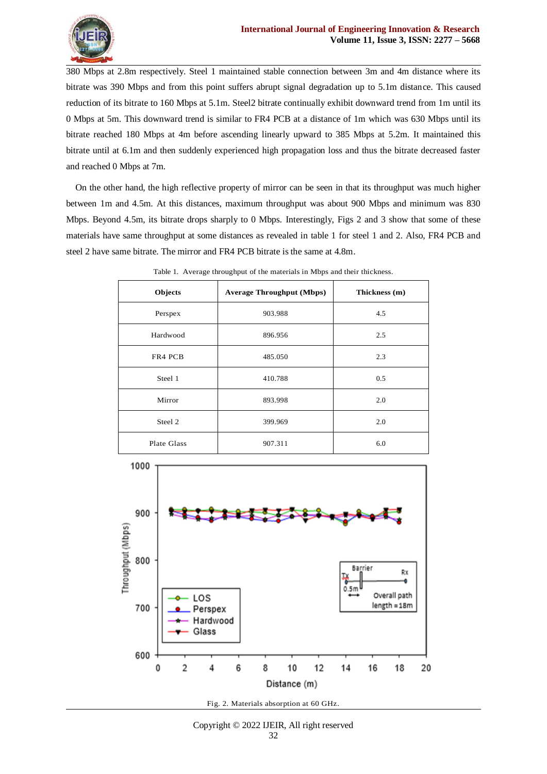

380 Mbps at 2.8m respectively. Steel 1 maintained stable connection between 3m and 4m distance where its bitrate was 390 Mbps and from this point suffers abrupt signal degradation up to 5.1m distance. This caused reduction of its bitrate to 160 Mbps at 5.1m. Steel2 bitrate continually exhibit downward trend from 1m until its 0 Mbps at 5m. This downward trend is similar to FR4 PCB at a distance of 1m which was 630 Mbps until its bitrate reached 180 Mbps at 4m before ascending linearly upward to 385 Mbps at 5.2m. It maintained this bitrate until at 6.1m and then suddenly experienced high propagation loss and thus the bitrate decreased faster and reached 0 Mbps at 7m.

On the other hand, the high reflective property of mirror can be seen in that its throughput was much higher between 1m and 4.5m. At this distances, maximum throughput was about 900 Mbps and minimum was 830 Mbps. Beyond 4.5m, its bitrate drops sharply to 0 Mbps. Interestingly, Figs 2 and 3 show that some of these materials have same throughput at some distances as revealed in table 1 for steel 1 and 2. Also, FR4 PCB and steel 2 have same bitrate. The mirror and FR4 PCB bitrate is the same at 4.8m.

| Objects     | <b>Average Throughput (Mbps)</b> | Thickness (m) |  |  |
|-------------|----------------------------------|---------------|--|--|
| Perspex     | 903.988                          | 4.5           |  |  |
| Hardwood    | 896.956                          | 2.5           |  |  |
| FR4 PCB     | 485.050                          | 2.3           |  |  |
| Steel 1     | 410.788                          | 0.5           |  |  |
| Mirror      | 893.998                          | 2.0           |  |  |
| Steel 2     | 399.969                          | 2.0           |  |  |
| Plate Glass | 907.311                          | 6.0           |  |  |

Table 1. Average throughput of the materials in Mbps and their thickness.



Fig. 2. Materials absorption at 60 GHz.

# Copyright © 2022 IJEIR, All right reserved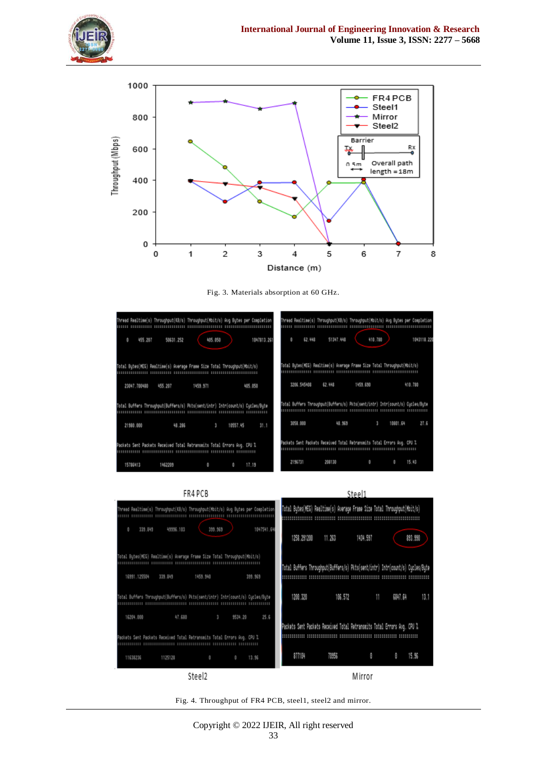





Fig. 3. Materials absorption at 60 GHz.





Fig. 4. Throughput of FR4 PCB, steel1, steel2 and mirror.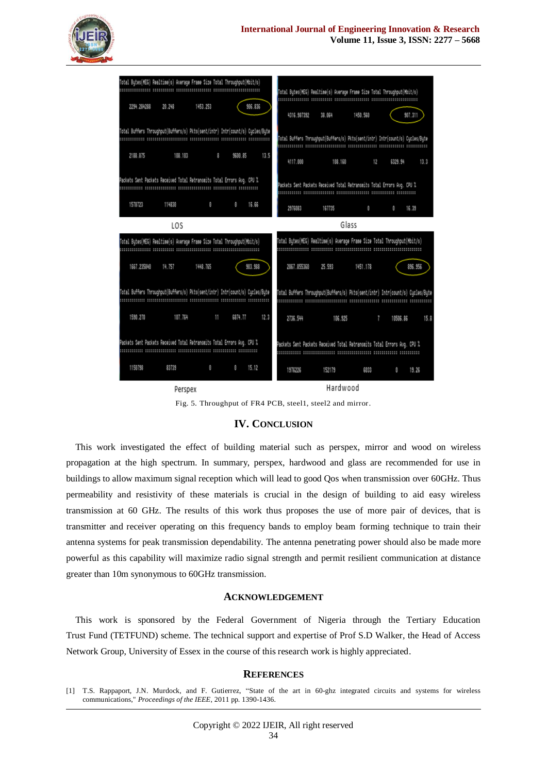### **International Journal of Engineering Innovation & Research Volume 11, Issue 3, ISSN: 2277 – 5668**



|                                                                          | Total Butes(MEG) Realtime(s) Average Frame Size Total Throughput(Mbit/s)      |          |             |                                                                          | Total Butes(MEG) Realtime(s) Average Frame Size Total Throughput(Mbit/s)      |         |          |          |         |
|--------------------------------------------------------------------------|-------------------------------------------------------------------------------|----------|-------------|--------------------------------------------------------------------------|-------------------------------------------------------------------------------|---------|----------|----------|---------|
| 2294.284288                                                              | 28.248                                                                        | 1453.253 | 906.836     |                                                                          | 4316.987392                                                                   | 38.064  | 1458.568 |          | 987.311 |
|                                                                          | Total Buffers Throughput(Buffers/s) Pkts(sent/intr) Intr(count/s) Cucles/Bute |          |             |                                                                          | Total Buffers Throughput(Buffers/s) Pkts(sent/intr) Intr(count/s) Cucles/Bute |         |          |          |         |
| 2188.875                                                                 | 188,183                                                                       | 8        | \$69.85     | 13.5                                                                     | 4117.000                                                                      | 188.168 | 12       | 6329.94  | 13.3    |
|                                                                          | Packets Sent Packets Received Total Retransmits Total Errors Aug. CPU I       |          |             |                                                                          | Packets Sent Packets Received Total Retransmits Total Errors Avg. CPU %       |         |          |          |         |
| 1578723                                                                  | 114838                                                                        | ø.       | 16.66<br>Θ. |                                                                          | 2976883                                                                       | 167735  | ₿        | $\theta$ | 16.39   |
|                                                                          | LOS                                                                           |          |             |                                                                          |                                                                               |         | Glass    |          |         |
| Total Butes(MEG) Realtime(s) Average Frame Size Total Throughput(Mbit/s) |                                                                               |          |             | Total Bytes(MEG) Realtime(s) Average Frame Size Total Throughput(Mbit/s) |                                                                               |         |          |          |         |
| 1667.235848                                                              | 14.757                                                                        | 1448.785 | 903.988     |                                                                          | 2867.855368                                                                   | 25.593  | 1451.178 |          | 896.956 |
|                                                                          | Total Buffers Throughput(Buffers/s) Pkts(sent/intr) Intr(count/s) Cucles/Bute |          |             |                                                                          | Total Buffers Throughput(Buffers/s) Pkts(sent/intr) Intr(count/s) Cucles/Bute |         |          |          |         |
| 1590.270                                                                 | 187.764                                                                       | 11       | 6874.77     | 12.3                                                                     | 2736.544                                                                      | 186.925 | $\sim$   | 18586.86 | 15.8    |
|                                                                          | Packets Sent Packets Received Total Retransmits Total Errors Avg. CPU %       |          |             |                                                                          | Packets Sent Packets Received Total Retransmits Total Errors Aug. CPU %       |         |          |          |         |
| 1158798                                                                  | 83739                                                                         | ₿.       | 15.12<br>8  |                                                                          | 1976226                                                                       | 152179  | 6033     | ø        | 19.26   |
| Perspex                                                                  |                                                                               |          |             |                                                                          | Hardwood                                                                      |         |          |          |         |

Fig. 5. Throughput of FR4 PCB, steel1, steel2 and mirror.

#### **IV. CONCLUSION**

This work investigated the effect of building material such as perspex, mirror and wood on wireless propagation at the high spectrum. In summary, perspex, hardwood and glass are recommended for use in buildings to allow maximum signal reception which will lead to good Qos when transmission over 60GHz. Thus permeability and resistivity of these materials is crucial in the design of building to aid easy wireless transmission at 60 GHz. The results of this work thus proposes the use of more pair of devices, that is transmitter and receiver operating on this frequency bands to employ beam forming technique to train their antenna systems for peak transmission dependability. The antenna penetrating power should also be made more powerful as this capability will maximize radio signal strength and permit resilient communication at distance greater than 10m synonymous to 60GHz transmission.

#### **ACKNOWLEDGEMENT**

This work is sponsored by the Federal Government of Nigeria through the Tertiary Education Trust Fund (TETFUND) scheme. The technical support and expertise of Prof S.D Walker, the Head of Access Network Group, University of Essex in the course of this research work is highly appreciated.

#### **REFERENCES**

<sup>[1]</sup> T.S. Rappaport, J.N. Murdock, and F. Gutierrez, "State of the art in 60-ghz integrated circuits and systems for wireless communications," *Proceedings of the IEEE*, 2011 pp. 1390-1436.